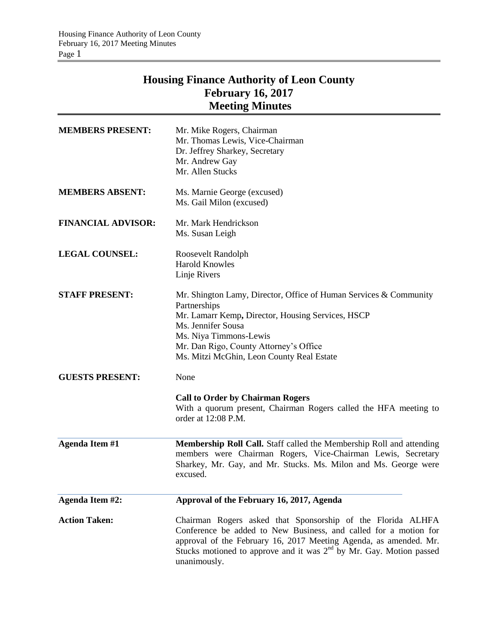## **Housing Finance Authority of Leon County February 16, 2017 Meeting Minutes**

| <b>MEMBERS PRESENT:</b>   | Mr. Mike Rogers, Chairman<br>Mr. Thomas Lewis, Vice-Chairman<br>Dr. Jeffrey Sharkey, Secretary<br>Mr. Andrew Gay<br>Mr. Allen Stucks                                                                                                                                                          |
|---------------------------|-----------------------------------------------------------------------------------------------------------------------------------------------------------------------------------------------------------------------------------------------------------------------------------------------|
| <b>MEMBERS ABSENT:</b>    | Ms. Marnie George (excused)<br>Ms. Gail Milon (excused)                                                                                                                                                                                                                                       |
| <b>FINANCIAL ADVISOR:</b> | Mr. Mark Hendrickson<br>Ms. Susan Leigh                                                                                                                                                                                                                                                       |
| <b>LEGAL COUNSEL:</b>     | Roosevelt Randolph<br><b>Harold Knowles</b><br>Linje Rivers                                                                                                                                                                                                                                   |
| <b>STAFF PRESENT:</b>     | Mr. Shington Lamy, Director, Office of Human Services & Community<br>Partnerships<br>Mr. Lamarr Kemp, Director, Housing Services, HSCP<br>Ms. Jennifer Sousa<br>Ms. Niya Timmons-Lewis<br>Mr. Dan Rigo, County Attorney's Office<br>Ms. Mitzi McGhin, Leon County Real Estate                 |
| <b>GUESTS PRESENT:</b>    | None<br><b>Call to Order by Chairman Rogers</b><br>With a quorum present, Chairman Rogers called the HFA meeting to<br>order at 12:08 P.M.                                                                                                                                                    |
| <b>Agenda Item #1</b>     | Membership Roll Call. Staff called the Membership Roll and attending<br>members were Chairman Rogers, Vice-Chairman Lewis, Secretary<br>Sharkey, Mr. Gay, and Mr. Stucks. Ms. Milon and Ms. George were<br>excused.                                                                           |
| Agenda Item #2:           | Approval of the February 16, 2017, Agenda                                                                                                                                                                                                                                                     |
| <b>Action Taken:</b>      | Chairman Rogers asked that Sponsorship of the Florida ALHFA<br>Conference be added to New Business, and called for a motion for<br>approval of the February 16, 2017 Meeting Agenda, as amended. Mr.<br>Stucks motioned to approve and it was $2nd$ by Mr. Gay. Motion passed<br>unanimously. |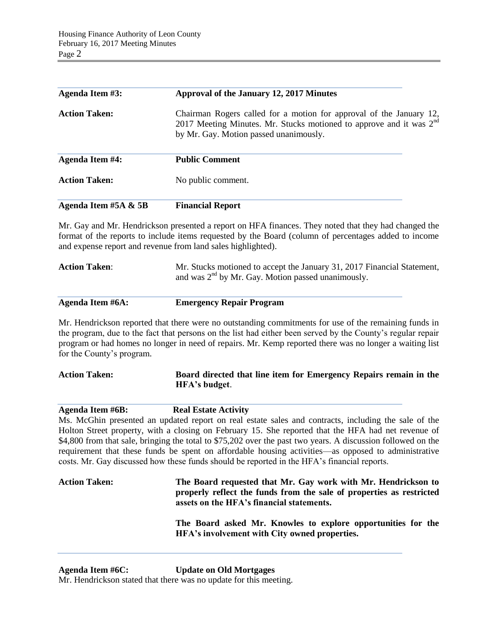| Agenda Item #3:        | Approval of the January 12, 2017 Minutes                                                                                                                                               |
|------------------------|----------------------------------------------------------------------------------------------------------------------------------------------------------------------------------------|
| <b>Action Taken:</b>   | Chairman Rogers called for a motion for approval of the January 12,<br>2017 Meeting Minutes. Mr. Stucks motioned to approve and it was $2nd$<br>by Mr. Gay. Motion passed unanimously. |
| <b>Agenda Item #4:</b> | <b>Public Comment</b>                                                                                                                                                                  |
| <b>Action Taken:</b>   | No public comment.                                                                                                                                                                     |
| Agenda Item #5A & 5B   | <b>Financial Report</b>                                                                                                                                                                |

Mr. Gay and Mr. Hendrickson presented a report on HFA finances. They noted that they had changed the format of the reports to include items requested by the Board (column of percentages added to income and expense report and revenue from land sales highlighted).

| <b>Action Taken:</b> | Mr. Stucks motioned to accept the January 31, 2017 Financial Statement, |
|----------------------|-------------------------------------------------------------------------|
|                      | and was $2nd$ by Mr. Gay. Motion passed unanimously.                    |

| Agenda Item #6A: | <b>Emergency Repair Program</b> |
|------------------|---------------------------------|
|                  |                                 |

Mr. Hendrickson reported that there were no outstanding commitments for use of the remaining funds in the program, due to the fact that persons on the list had either been served by the County's regular repair program or had homes no longer in need of repairs. Mr. Kemp reported there was no longer a waiting list for the County's program.

| <b>Action Taken:</b> | Board directed that line item for Emergency Repairs remain in the |  |
|----------------------|-------------------------------------------------------------------|--|
|                      | HFA's budget.                                                     |  |

**Agenda Item #6B: Real Estate Activity**

Ms. McGhin presented an updated report on real estate sales and contracts, including the sale of the Holton Street property, with a closing on February 15. She reported that the HFA had net revenue of \$4,800 from that sale, bringing the total to \$75,202 over the past two years. A discussion followed on the requirement that these funds be spent on affordable housing activities—as opposed to administrative costs. Mr. Gay discussed how these funds should be reported in the HFA's financial reports.

| <b>Action Taken:</b> | The Board requested that Mr. Gay work with Mr. Hendrickson to<br>properly reflect the funds from the sale of properties as restricted<br>assets on the HFA's financial statements. |
|----------------------|------------------------------------------------------------------------------------------------------------------------------------------------------------------------------------|
|                      | The Board asked Mr. Knowles to explore opportunities for the<br>HFA's involvement with City owned properties.                                                                      |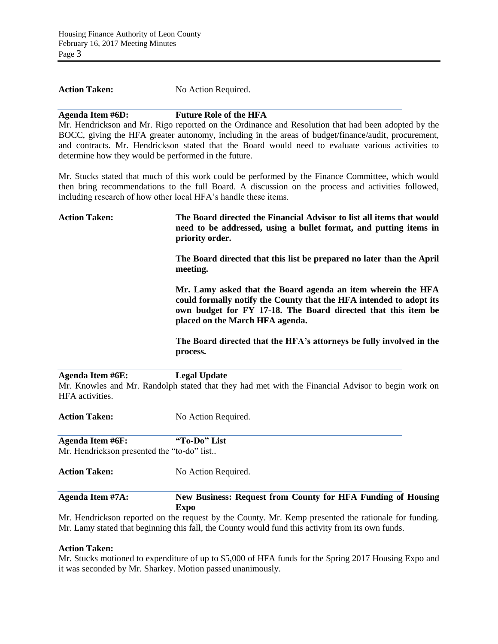| <b>Action Taken:</b> | No Action Required. |
|----------------------|---------------------|
|----------------------|---------------------|

## **Agenda Item #6D: Future Role of the HFA**

Mr. Hendrickson and Mr. Rigo reported on the Ordinance and Resolution that had been adopted by the BOCC, giving the HFA greater autonomy, including in the areas of budget/finance/audit, procurement, and contracts. Mr. Hendrickson stated that the Board would need to evaluate various activities to determine how they would be performed in the future.

Mr. Stucks stated that much of this work could be performed by the Finance Committee, which would then bring recommendations to the full Board. A discussion on the process and activities followed, including research of how other local HFA's handle these items.

| <b>Action Taken:</b> | The Board directed the Financial Advisor to list all items that would<br>need to be addressed, using a bullet format, and putting items in<br>priority order.                                                                           |
|----------------------|-----------------------------------------------------------------------------------------------------------------------------------------------------------------------------------------------------------------------------------------|
|                      | The Board directed that this list be prepared no later than the April<br>meeting.                                                                                                                                                       |
|                      | Mr. Lamy asked that the Board agenda an item wherein the HFA<br>could formally notify the County that the HFA intended to adopt its<br>own budget for FY 17-18. The Board directed that this item be<br>placed on the March HFA agenda. |
|                      | The Board directed that the HFA's attorneys be fully involved in the<br>process.                                                                                                                                                        |

**Agenda Item #6E: Legal Update** Mr. Knowles and Mr. Randolph stated that they had met with the Financial Advisor to begin work on HFA activities.

Action Taken: No Action Required. **Agenda Item #6F: "To-Do" List** Mr. Hendrickson presented the "to-do" list.. Action Taken: No Action Required.

**Agenda Item #7A: New Business: Request from County for HFA Funding of Housing Expo**

Mr. Hendrickson reported on the request by the County. Mr. Kemp presented the rationale for funding. Mr. Lamy stated that beginning this fall, the County would fund this activity from its own funds.

## **Action Taken:**

Mr. Stucks motioned to expenditure of up to \$5,000 of HFA funds for the Spring 2017 Housing Expo and it was seconded by Mr. Sharkey. Motion passed unanimously.